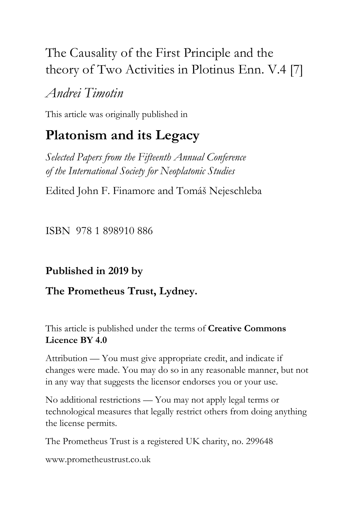# The Causality of the First Principle and the theory of Two Activities in Plotinus Enn. V.4 [7]

# *Andrei Timotin*

This article was originally published in

# **Platonism and its Legacy**

*Selected Papers from the Fifteenth Annual Conference of the International Society for Neoplatonic Studies*

Edited John F. Finamore and Tomáš Nejeschleba

ISBN 978 1 898910 886

## **Published in 2019 by**

## **The Prometheus Trust, Lydney.**

This article is published under the terms of **Creative Commons Licence BY 4.0**

Attribution — You must give appropriate credit, and indicate if changes were made. You may do so in any reasonable manner, but not in any way that suggests the licensor endorses you or your use.

No additional restrictions — You may not apply legal terms or technological measures that legally restrict others from doing anything the license permits.

The Prometheus Trust is a registered UK charity, no. 299648

[www.prometheustrust.co.uk](http://www.prometheustrust.co.uk/)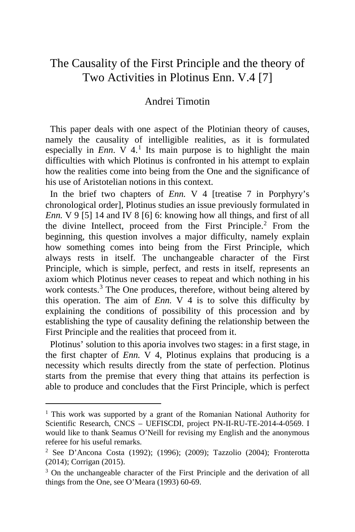## The Causality of the First Principle and the theory of Two Activities in Plotinus Enn. V.4 [7]

### Andrei Timotin

 This paper deals with one aspect of the Plotinian theory of causes, namely the causality of intelligible realities, as it is formulated especially in *Enn*.  $V$  4.<sup>[1](#page-1-0)</sup> Its main purpose is to highlight the main difficulties with which Plotinus is confronted in his attempt to explain how the realities come into being from the One and the significance of his use of Aristotelian notions in this context.

 In the brief two chapters of *Enn.* V 4 [treatise 7 in Porphyry's chronological order], Plotinus studies an issue previously formulated in *Enn.* V 9 [5] 14 and IV 8 [6] 6: knowing how all things, and first of all the divine Intellect, proceed from the First Principle.<sup>[2](#page-1-1)</sup> From the beginning, this question involves a major difficulty, namely explain how something comes into being from the First Principle, which always rests in itself. The unchangeable character of the First Principle, which is simple, perfect, and rests in itself, represents an axiom which Plotinus never ceases to repeat and which nothing in his work contests.<sup>[3](#page-1-2)</sup> The One produces, therefore, without being altered by this operation. The aim of *Enn.* V 4 is to solve this difficulty by explaining the conditions of possibility of this procession and by establishing the type of causality defining the relationship between the First Principle and the realities that proceed from it.

 Plotinus' solution to this aporia involves two stages: in a first stage, in the first chapter of *Enn.*  $\overline{V}$  4, Plotinus explains that producing is a necessity which results directly from the state of perfection. Plotinus starts from the premise that every thing that attains its perfection is able to produce and concludes that the First Principle, which is perfect

<span id="page-1-0"></span><sup>&</sup>lt;sup>1</sup> This work was supported by a grant of the Romanian National Authority for Scientific Research, CNCS – UEFISCDI, project PN-II-RU-TE-2014-4-0569. I would like to thank Seamus O'Neill for revising my English and the anonymous referee for his useful remarks.

<span id="page-1-1"></span><sup>&</sup>lt;sup>2</sup> See D'Ancona Costa (1992); (1996); (2009); Tazzolio (2004); Fronterotta (2014); Corrigan (2015).

<span id="page-1-2"></span><sup>&</sup>lt;sup>3</sup> On the unchangeable character of the First Principle and the derivation of all things from the One, see O'Meara (1993) 60-69.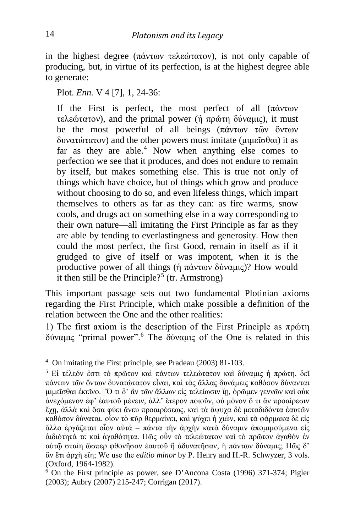in the highest degree (πάντων τελεώτατον), is not only capable of producing, but, in virtue of its perfection, is at the highest degree able to generate:

Plot. *Enn.* V 4 [7], 1, 24-36:

If the First is perfect, the most perfect of all (πάντων τελεώτατον), and the primal power (ἡ πρώτη δύναμις), it must be the most powerful of all beings (πάντων τῶν ὄντων δυνατώτατον) and the other powers must imitate (μιμεῖσθαι) it as far as they are able.<sup>[4](#page-2-0)</sup> Now when anything else comes to perfection we see that it produces, and does not endure to remain by itself, but makes something else. This is true not only of things which have choice, but of things which grow and produce without choosing to do so, and even lifeless things, which impart themselves to others as far as they can: as fire warms, snow cools, and drugs act on something else in a way corresponding to their own nature—all imitating the First Principle as far as they are able by tending to everlastingness and generosity. How then could the most perfect, the first Good, remain in itself as if it grudged to give of itself or was impotent, when it is the productive power of all things (ή πάντων δύναμις)? How would it then still be the Principle?<sup>[5](#page-2-1)</sup> (tr. Armstrong)

This important passage sets out two fundamental Plotinian axioms regarding the First Principle, which make possible a definition of the relation between the One and the other realities:

1) The first axiom is the description of the First Principle as  $\pi \rho \omega \tau \eta$ δύναμις "primal power".[6](#page-2-2) The δύναμις of the One is related in this

<span id="page-2-0"></span><sup>&</sup>lt;sup>4</sup> On imitating the First principle, see Pradeau (2003) 81-103.

<span id="page-2-1"></span><sup>5</sup> Εἰ τέλεόν ἐστι τὸ πρῶτον καὶ πάντων τελεώτατον καὶ δύναμις ἡ πρώτη, δεῖ πάντων τῶν ὄντων δυνατώτατον εἶναι, καὶ τὰς ἄλλας δυνάμεις καθόσον δύνανται μιμεῖσθαι ἐκεῖνο. Ὅ τι δ' ἂν τῶν ἄλλων εἰς τελείωσιν ἴῃ, ὁρῶμεν γεννῶν καὶ οὐκ ἀνεχόμενον ἐφ' ἑαυτοῦ μένειν, ἀλλ' ἕτερον ποιοῦν, οὐ μόνον ὅ τι ἂν προαίρεσιν ἔχῃ, ἀλλὰ καὶ ὅσα φύει ἄνευ προαιρέσεως, καὶ τὰ ἄψυχα δὲ μεταδιδόντα ἑαυτῶν καθόσον δύναται. οἷον τὸ πῦρ θερμαίνει, καὶ ψύχει ἡ χιών, καὶ τὰ φάρμακα δὲ εἰς ἄλλο ἐργάζεται οἷον αὐτά – πάντα τὴν ἀρχὴν κατὰ δύναμιν ἀπομιμούμενα εἰς ἀιδιότητά τε καὶ ἀγαθότητα. Πῶς οὖν τὸ τελεώτατον καὶ τὸ πρῶτον ἀγαθὸν ἐν αὑτῷ σταίη ὥσπερ φθονῆσαν ἑαυτοῦ ἢ ἀδυνατῆσαν, ἡ πάντων δύναμις; Πῶς δ' ἂν ἔτι ἀρχὴ εἴη; We use the *editio minor* by P. Henry and H.-R. Schwyzer, 3 vols. (Oxford, 1964-1982).

<span id="page-2-2"></span><sup>6</sup> On the First principle as power, see D'Ancona Costa (1996) 371-374; Pigler (2003); Aubry (2007) 215-247; Corrigan (2017).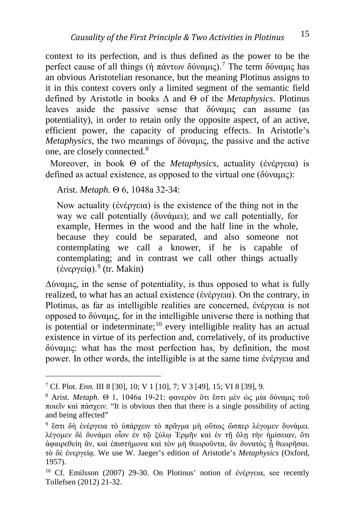context to its perfection, and is thus defined as the power to be the perfect cause of all things (ή πάντων δύναμις).<sup>[7](#page-3-0)</sup> The term δύναμις has an obvious Aristotelian resonance, but the meaning Plotinus assigns to it in this context covers only a limited segment of the semantic field defined by Aristotle in books Δ and Θ of the *Metaphysics*. Plotinus leaves aside the passive sense that δύναμις can assume (as potentiality), in order to retain only the opposite aspect, of an active, efficient power, the capacity of producing effects. In Aristotle's *Metaphysics*, the two meanings of δύναμις, the passive and the active one, are closely connected.[8](#page-3-1)

 Moreover, in book Θ of the *Metaphysics*, actuality (ἐνέργεια) is defined as actual existence, as opposed to the virtual one (δύναμις):

Arist. *Metaph.* Θ 6, 1048a 32-34:

Now actuality (ἐνέργεια) is the existence of the thing not in the way we call potentially (δυνάμει); and we call potentially, for example, Hermes in the wood and the half line in the whole, because they could be separated, and also someone not contemplating we call a knower, if he is capable of contemplating; and in contrast we call other things actually (ἐνεργείᾳ).[9](#page-3-2) (tr. Makin)

Δύναμις, in the sense of potentiality, is thus opposed to what is fully realized, to what has an actual existence (ἐνέργεια). On the contrary, in Plotinus, as far as intelligible realities are concerned, ἐνέργεια is not opposed to δύναμις, for in the intelligible universe there is nothing that is potential or indeterminate;<sup>[10](#page-3-3)</sup> every intelligible reality has an actual existence in virtue of its perfection and, correlatively, of its productive δύναμις: what has the most perfection has, by definition, the most power. In other words, the intelligible is at the same time ἐνέργεια and

<span id="page-3-1"></span><span id="page-3-0"></span><sup>7</sup> Cf. Plot. *Enn.* III 8 [30], 10; V 1 [10], 7; V 3 [49], 15; VI 8 [39], 9. 8 Arist. *Metaph*. Θ 1, 1046a 19-21: φανερὸν ὅτι ἔστι μὲν ὡς μία δύναμις τοῦ ποιεῖν καὶ πάσχειν. "It is obvious then that there is a single possibility of acting and being affected"

<span id="page-3-2"></span><sup>9</sup> ἔστι δὴ ἐνέργεια τὸ ὑπάρχειν τὸ πρᾶγμα μὴ οὕτως ὥσπερ λέγομεν δυνάμει. λέγομεν δὲ δυνάμει οἷον ἐν τῷ ξύλῳ Ἑρμῆν καὶ ἐν τῇ ὅλῃ τὴν ἡμίσειαν, ὅτι ἀφαιρεθείη ἄν, καὶ ἐπιστήμονα καὶ τὸν μὴ θεωροῦντα, ἂν δυνατὸς ᾖ θεωρῆσαι. τὸ δὲ ἐνεργείᾳ. We use W. Jaeger's edition of Aristotle's *Metaphysics* (Oxford, 1957).

<span id="page-3-3"></span><sup>&</sup>lt;sup>10</sup> Cf. Emilsson (2007) 29-30. On Plotinus' notion of ἐνέργεια, see recently Tollefsen (2012) 21-32.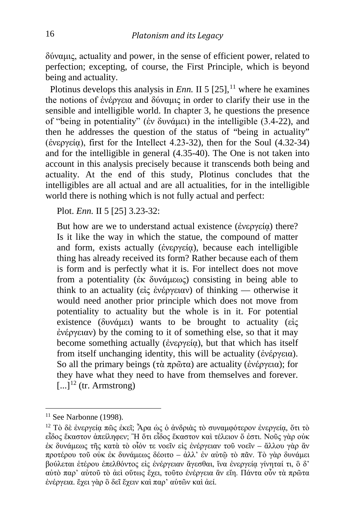δύναμις, actuality and power, in the sense of efficient power, related to perfection; excepting, of course, the First Principle, which is beyond being and actuality.

Plotinus develops this analysis in *Enn*. II 5  $[25]$ ,<sup>[11](#page-4-0)</sup> where he examines the notions of ἐνέργεια and δύναμις in order to clarify their use in the sensible and intelligible world. In chapter 3, he questions the presence of "being in potentiality" (ἐν δυνάμει) in the intelligible (3.4-22), and then he addresses the question of the status of "being in actuality" (ένεργεία), first for the Intellect 4.23-32), then for the Soul  $(4.32-34)$ and for the intelligible in general (4.35-40). The One is not taken into account in this analysis precisely because it transcends both being and actuality. At the end of this study, Plotinus concludes that the intelligibles are all actual and are all actualities, for in the intelligible world there is nothing which is not fully actual and perfect:

Plot. *Enn.* II 5 [25] 3.23-32:

But how are we to understand actual existence (ἐνεργεία) there? Is it like the way in which the statue, the compound of matter and form, exists actually (ἐνεργείᾳ), because each intelligible thing has already received its form? Rather because each of them is form and is perfectly what it is. For intellect does not move from a potentiality (ἐκ δυνάμεως) consisting in being able to think to an actuality (εἰς ἐνέργειαν) of thinking — otherwise it would need another prior principle which does not move from potentiality to actuality but the whole is in it. For potential existence (δυνάμει) wants to be brought to actuality (εἰς ἐνέργειαν) by the coming to it of something else, so that it may become something actually (ἐνεργεία), but that which has itself from itself unchanging identity, this will be actuality (ἐνέργεια). So all the primary beings (τὰ πρῶτα) are actuality (ἐνέργεια); for they have what they need to have from themselves and forever.  $\left[\ldots\right]^{12}$  $\left[\ldots\right]^{12}$  $\left[\ldots\right]^{12}$  (tr. Armstrong)

<span id="page-4-0"></span> $11$  See Narbonne (1998).

<span id="page-4-1"></span><sup>&</sup>lt;sup>12</sup> Τὸ δὲ ἐνεργεία πῶς ἐκεῖ; Ἄρα ὡς ὁ ἀνδριὰς τὸ συναμφότερον ἐνεργεία, ὅτι τὸ εἶδος ἕκαστον ἀπείληφεν; Ἢ ὅτι εἶδος ἕκαστον καὶ τέλειον ὅ ἐστι. Νοῦς γὰρ οὐκ ἐκ δυνάμεως τῆς κατὰ τὸ οἷόν τε νοεῖν εἰς ἐνέργειαν τοῦ νοεῖν – ἄλλου γὰρ ἂν προτέρου τοῦ οὐκ ἐκ δυνάμεως δέοιτο – ἀλλ' ἐν αὐτῷ τὸ πᾶν. Τὸ γὰρ δυνάμει βούλεται ἑτέρου ἐπελθόντος εἰς ἐνέργειαν ἄγεσθαι, ἵνα ἐνεργείᾳ γίνηταί τι, ὃ δ' αὐτὸ παρ' αὐτοῦ τὸ ἀεὶ οὕτως ἔχει, τοῦτο ἐνέργεια ἂν εἴη. Πάντα οὖν τὰ πρῶτα ἐνέργεια. ἔχει γὰρ ὃ δεῖ ἔχειν καὶ παρ' αὑτῶν καὶ ἀεί.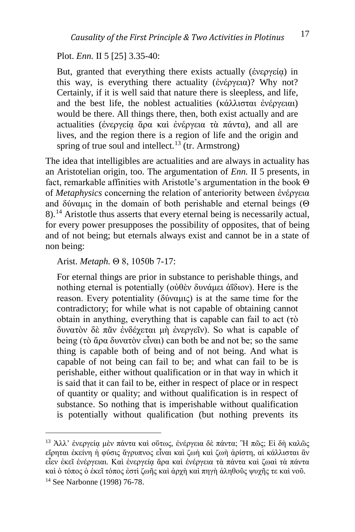Plot. *Enn.* II 5 [25] 3.35-40:

But, granted that everything there exists actually (ἐνεργείᾳ) in this way, is everything there actuality (ἐνέργεια)? Why not? Certainly, if it is well said that nature there is sleepless, and life, and the best life, the noblest actualities (κάλλισται ἐνέργειαι) would be there. All things there, then, both exist actually and are actualities (ἐνεργεία ἄρα καὶ ἐνέργεια τὰ πάντα), and all are lives, and the region there is a region of life and the origin and spring of true soul and intellect.<sup>[13](#page-5-0)</sup> (tr. Armstrong)

The idea that intelligibles are actualities and are always in actuality has an Aristotelian origin, too. The argumentation of *Enn.* II 5 presents, in fact, remarkable affinities with Aristotle's argumentation in the book Θ of *Metaphysics* concerning the relation of anteriority between ἐνέργεια and δύναμις in the domain of both perishable and eternal beings (Θ 8).[14](#page-5-1) Aristotle thus asserts that every eternal being is necessarily actual, for every power presupposes the possibility of opposites, that of being and of not being; but eternals always exist and cannot be in a state of non being:

#### Arist. *Metaph.* Θ 8, 1050b 7-17:

For eternal things are prior in substance to perishable things, and nothing eternal is potentially (οὐθὲν δυνάμει ἀΐδιον). Here is the reason. Every potentiality (δύναμις) is at the same time for the contradictory; for while what is not capable of obtaining cannot obtain in anything, everything that is capable can fail to act (τὸ δυνατὸν δὲ πᾶν ἐνδέχεται μὴ ἐνεργεῖν). So what is capable of being (τὸ ἄρα δυνατὸν εἶναι) can both be and not be; so the same thing is capable both of being and of not being. And what is capable of not being can fail to be; and what can fail to be is perishable, either without qualification or in that way in which it is said that it can fail to be, either in respect of place or in respect of quantity or quality; and without qualification is in respect of substance. So nothing that is imperishable without qualification is potentially without qualification (but nothing prevents its

<span id="page-5-1"></span><span id="page-5-0"></span><sup>13</sup> Ἀλλ' ἐνεργείᾳ μὲν πάντα καὶ οὕτως, ἐνέργεια δὲ πάντα; <sup>Ἢ</sup> πῶς; Εἰ δὴ καλῶς εἴρηται ἐκείνη ἡ φύσις ἄγρυπνος εἶναι καὶ ζωὴ καὶ ζωὴ ἀρίστη, αἱ κάλλισται ἂν εἶεν ἐκεῖ ἐνέργειαι. Καὶ ἐνεργείᾳ ἄρα καὶ ἐνέργεια τὰ πάντα καὶ ζωαὶ τὰ πάντα καὶ ὁ τόπος ὁ ἐκεῖ τόπος ἐστὶ ζωῆς καὶ ἀρχὴ καὶ πηγὴ ἀληθοῦς ψυχῆς τε καὶ νοῦ. <sup>14</sup> See Narbonne (1998) 76-78.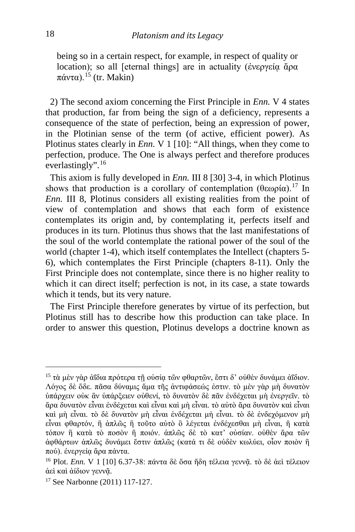being so in a certain respect, for example, in respect of quality or location); so all [eternal things] are in actuality (ἐνεργεία ἄρα  $πάντα$ ).<sup>[15](#page-6-0)</sup> (tr. Makin)

 2) The second axiom concerning the First Principle in *Enn.* V 4 states that production, far from being the sign of a deficiency, represents a consequence of the state of perfection, being an expression of power, in the Plotinian sense of the term (of active, efficient power). As Plotinus states clearly in *Enn.* V 1 [10]: "All things, when they come to perfection, produce. The One is always perfect and therefore produces everlastingly".  $16$ 

 This axiom is fully developed in *Enn.* III 8 [30] 3-4, in which Plotinus shows that production is a corollary of contemplation  $(θεωρία)$ .<sup>[17](#page-6-2)</sup> In *Enn.* III 8, Plotinus considers all existing realities from the point of view of contemplation and shows that each form of existence contemplates its origin and, by contemplating it, perfects itself and produces in its turn. Plotinus thus shows that the last manifestations of the soul of the world contemplate the rational power of the soul of the world (chapter 1-4), which itself contemplates the Intellect (chapters 5- 6), which contemplates the First Principle (chapters 8-11). Only the First Principle does not contemplate, since there is no higher reality to which it can direct itself; perfection is not, in its case, a state towards which it tends, but its very nature.

 The First Principle therefore generates by virtue of its perfection, but Plotinus still has to describe how this production can take place. In order to answer this question, Plotinus develops a doctrine known as

<span id="page-6-0"></span><sup>&</sup>lt;sup>15</sup> τὰ μὲν γὰρ ἀΐδια πρότερα τῆ οὐσία τῶν φθαρτῶν, ἔστι δ' οὐθὲν δυνάμει ἀΐδιον. Λόγος δὲ ὅδε. πᾶσα δύναμις ἅμα τῆς ἀντιφάσεώς ἐστιν. τὸ μὲν γὰρ μὴ δυνατὸν ὑπάρχειν οὐκ ἂν ὑπάρξειεν οὐθενί, τὸ δυνατὸν δὲ πᾶν ἐνδέχεται μὴ ἐνεργεῖν. τὸ ἄρα δυνατὸν εἶναι ἐνδέχεται καὶ εἶναι καὶ μὴ εἶναι. τὸ αὐτὸ ἄρα δυνατὸν καὶ εἶναι καὶ μὴ εἶναι. τὸ δὲ δυνατὸν μὴ εἶναι ἐνδέχεται μὴ εἶναι. τὸ δὲ ἐνδεχόμενον μὴ εἶναι φθαρτόν, ἢ ἁπλῶς ἢ τοῦτο αὐτὸ ὃ λέγεται ἐνδέχεσθαι μὴ εἶναι, ἢ κατὰ τόπον ἢ κατὰ τὸ ποσὸν ἢ ποιόν. ἁπλῶς δὲ τὸ κατ' οὐσίαν. οὐθὲν ἄρα τῶν ἀφθάρτων ἁπλῶς δυνάμει ἔστιν ἁπλῶς (κατά τι δὲ οὐδὲν κωλύει, οἷον ποιὸν ἢ πού). ἐνεργείᾳ ἄρα πάντα.

<span id="page-6-1"></span><sup>&</sup>lt;sup>16</sup> Plot. *Enn.* V 1 [10] 6.37-38: πάντα δὲ ὅσα ἤδη τέλεια γεννᾶ. τὸ δὲ ἀεὶ τέλειον ἀεὶ καὶ ἀίδιον γεννᾷ. 17 See Narbonne (2011) 117-127.

<span id="page-6-2"></span>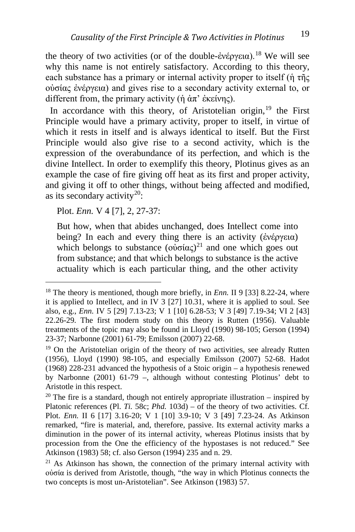the theory of two activities (or of the double-ἐνέργεια).<sup>[18](#page-7-0)</sup> We will see why this name is not entirely satisfactory. According to this theory, each substance has a primary or internal activity proper to itself (ἡ τῆς οὐσίας ἐνέργεια) and gives rise to a secondary activity external to, or different from, the primary activity (ή άπ' ἐκείνης).

In accordance with this theory, of Aristotelian origin, $19$  the First Principle would have a primary activity, proper to itself, in virtue of which it rests in itself and is always identical to itself. But the First Principle would also give rise to a second activity, which is the expression of the overabundance of its perfection, and which is the divine Intellect. In order to exemplify this theory, Plotinus gives as an example the case of fire giving off heat as its first and proper activity, and giving it off to other things, without being affected and modified, as its secondary activity<sup>20</sup>:

Plot. *Enn.* V 4 [7], 2, 27-37:

But how, when that abides unchanged, does Intellect come into being? In each and every thing there is an activity (ἐνέργεια) which belongs to substance  $(\omega \sigma \alpha \zeta)^{21}$  $(\omega \sigma \alpha \zeta)^{21}$  $(\omega \sigma \alpha \zeta)^{21}$  and one which goes out from substance; and that which belongs to substance is the active actuality which is each particular thing, and the other activity

<span id="page-7-0"></span><sup>&</sup>lt;sup>18</sup> The theory is mentioned, though more briefly, in *Enn*. II 9 [33] 8.22-24, where it is applied to Intellect, and in IV 3 [27] 10.31, where it is applied to soul. See also, e.g., *Enn.* IV 5 [29] 7.13-23; V 1 [10] 6.28-53; V 3 [49] 7.19-34; VI 2 [43] 22.26-29. The first modern study on this theory is Rutten (1956). Valuable treatments of the topic may also be found in Lloyd (1990) 98-105; Gerson (1994) 23-37; Narbonne (2001) 61-79; Emilsson (2007) 22-68.

<span id="page-7-1"></span><sup>&</sup>lt;sup>19</sup> On the Aristotelian origin of the theory of two activities, see already Rutten (1956), Lloyd (1990) 98-105, and especially Emilsson (2007) 52-68. Hadot (1968) 228-231 advanced the hypothesis of a Stoic origin – a hypothesis renewed by Narbonne (2001) 61-79 –, although without contesting Plotinus' debt to Aristotle in this respect.

<span id="page-7-2"></span> $20$  The fire is a standard, though not entirely appropriate illustration – inspired by Platonic references (Pl. *Ti.* 58c; *Phd.* 103d) – of the theory of two activities. Cf. Plot. *Enn.* II 6 [17] 3.16-20; V 1 [10] 3.9-10; V 3 [49] 7.23-24. As Atkinson remarked, "fire is material, and, therefore, passive. Its external activity marks a diminution in the power of its internal activity, whereas Plotinus insists that by procession from the One the efficiency of the hypostases is not reduced." See Atkinson (1983) 58; cf. also Gerson (1994) 235 and n. 29.

<span id="page-7-3"></span> $21$  As Atkinson has shown, the connection of the primary internal activity with οὐσία is derived from Aristotle, though, "the way in which Plotinus connects the two concepts is most un-Aristotelian". See Atkinson (1983) 57.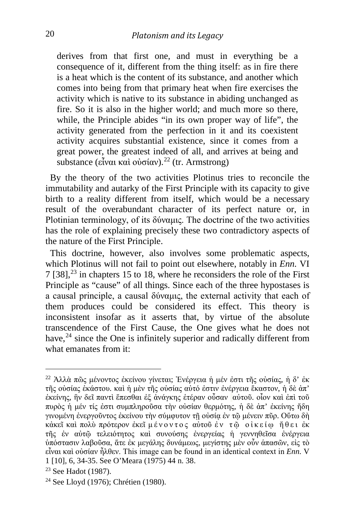derives from that first one, and must in everything be a consequence of it, different from the thing itself: as in fire there is a heat which is the content of its substance, and another which comes into being from that primary heat when fire exercises the activity which is native to its substance in abiding unchanged as fire. So it is also in the higher world; and much more so there, while, the Principle abides "in its own proper way of life", the activity generated from the perfection in it and its coexistent activity acquires substantial existence, since it comes from a great power, the greatest indeed of all, and arrives at being and substance (εἶναι καὶ οὐσίαν).<sup>[22](#page-8-0)</sup> (tr. Armstrong)

 By the theory of the two activities Plotinus tries to reconcile the immutability and autarky of the First Principle with its capacity to give birth to a reality different from itself, which would be a necessary result of the overabundant character of its perfect nature or, in Plotinian terminology, of its δύναμις. The doctrine of the two activities has the role of explaining precisely these two contradictory aspects of the nature of the First Principle.

 This doctrine, however, also involves some problematic aspects, which Plotinus will not fail to point out elsewhere, notably in *Enn.* VI  $7 [38]$ ,<sup>[23](#page-8-1)</sup> in chapters 15 to 18, where he reconsiders the role of the First Principle as "cause" of all things. Since each of the three hypostases is a causal principle, a causal δύναμις, the external activity that each of them produces could be considered its effect. This theory is inconsistent insofar as it asserts that, by virtue of the absolute transcendence of the First Cause, the One gives what he does not have,<sup>[24](#page-8-2)</sup> since the One is infinitely superior and radically different from what emanates from it:

<span id="page-8-0"></span><sup>22</sup> Ἀλλὰ πῶς μένοντος ἐκείνου γίνεται; Ἐνέργεια <sup>ἡ</sup> μέν ἐστι τῆς οὐσίας, <sup>ἡ</sup> <sup>δ</sup>' ἐκ τῆς οὐσίας ἑκάστου. καὶ ἡ μὲν τῆς οὐσίας αὐτό ἐστιν ἐνέργεια ἕκαστον, ἡ δὲ ἀπ' ἐκείνης, ἣν δεῖ παντὶ ἕπεσθαι ἐξ ἀνάγκης ἑτέραν οὖσαν αὐτοῦ. οἷον καὶ ἐπὶ τοῦ πυρὸς ἡ μέν τίς ἐστι συμπληροῦσα τὴν οὐσίαν θερμότης, ἡ δὲ ἀπ' ἐκείνης ἤδη γινομένη ἐνεργοῦντος ἐκείνου τὴν σύμφυτον τῇ οὐσίᾳ ἐν τῷ μένειν πῦρ. Οὕτω δὴ κἀκεῖ καὶ πολὺ πρότερον ἐκεῖ μένοντος αὐτοῦ ἐν τῷ οἰκείῳ ἤθει ἐκ τῆς ἐν αὐτῷ τελειότητος καὶ συνούσης ἐνεργείας ἡ γεννηθεῖσα ἐνέργεια ὑπόστασιν λαβοῦσα, ἅτε ἐκ μεγάλης δυνάμεως, μεγίστης μὲν οὖν ἁπασῶν, εἰς τὸ εἶναι καὶ οὐσίαν ἦλθεν. This image can be found in an identical context in *Enn.* V 1 [10], 6, 34-35. See O'Meara (1975) 44 n. 38.

<span id="page-8-1"></span><sup>23</sup> See Hadot (1987).

<span id="page-8-2"></span><sup>24</sup> See Lloyd (1976); Chrétien (1980).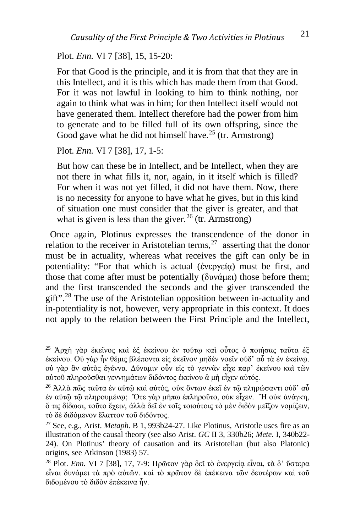### Plot. *Enn.* VI 7 [38], 15, 15-20:

For that Good is the principle, and it is from that that they are in this Intellect, and it is this which has made them from that Good. For it was not lawful in looking to him to think nothing, nor again to think what was in him; for then Intellect itself would not have generated them. Intellect therefore had the power from him to generate and to be filled full of its own offspring, since the Good gave what he did not himself have.<sup>[25](#page-9-0)</sup> (tr. Armstrong)

Plot. *Enn.* VI 7 [38], 17, 1-5:

But how can these be in Intellect, and be Intellect, when they are not there in what fills it, nor, again, in it itself which is filled? For when it was not yet filled, it did not have them. Now, there is no necessity for anyone to have what he gives, but in this kind of situation one must consider that the giver is greater, and that what is given is less than the giver.<sup>[26](#page-9-1)</sup> (tr. Armstrong)

 Once again, Plotinus expresses the transcendence of the donor in relation to the receiver in Aristotelian terms,  $27$  asserting that the donor must be in actuality, whereas what receives the gift can only be in potentiality: "For that which is actual (ἐνεργεία) must be first, and those that come after must be potentially (δυνάμει) those before them; and the first transcended the seconds and the giver transcended the gift".<sup>[28](#page-9-3)</sup> The use of the Aristotelian opposition between in-actuality and in-potentiality is not, however, very appropriate in this context. It does not apply to the relation between the First Principle and the Intellect,

<span id="page-9-0"></span><sup>25</sup> Ἀρχὴ γὰρ ἐκεῖνος καὶ ἐξ ἐκείνου ἐν τούτῳ καὶ οὗτος ὁ ποιήσας ταῦτα ἐξ ἐκείνου. Οὐ γὰρ ἦν θέμις βλέποντα εἰς ἐκεῖνον μηδὲν νοεῖν οὐδ' αὖ τὰ ἐν ἐκείνῳ. οὐ γὰρ ἂν αὐτὸς ἐγέννα. Δύναμιν οὖν εἰς τὸ γεννᾶν εἶχε παρ' ἐκείνου καὶ τῶν αὐτοῦ πληροῦσθαι γεννημάτων διδόντος ἐκείνου ἃ μὴ εἶχεν αὐτός.

<span id="page-9-1"></span><sup>&</sup>lt;sup>26</sup> Άλλά πῶς ταῦτα ἐν αὐτῷ καὶ αὐτός, οὐκ ὄντων ἐκεῖ ἐν τῷ πληρώσαντι οὐδ' αὖ ἐν αὐτῷ τῷ πληρουμένῳ; Ὅτε γὰρ μήπω ἐπληροῦτο, οὐκ εἶχεν. Ἢ οὐκ ἀνάγκη, ὅ τις δίδωσι, τοῦτο ἔχειν, ἀλλὰ δεῖ ἐν τοῖς τοιούτοις τὸ μὲν διδὸν μεῖζον νομίζειν, τὸ δὲ διδόμενον ἔλαττον τοῦ διδόντος.

<span id="page-9-2"></span><sup>27</sup> See, e.g., Arist. *Metaph.* B 1, 993b24-27. Like Plotinus, Aristotle uses fire as an illustration of the causal theory (see also Arist. *GC* II 3, 330b26; *Mete.* I, 340b22- 24). On Plotinus' theory of causation and its Aristotelian (but also Platonic) origins, see Atkinson (1983) 57.

<span id="page-9-3"></span><sup>28</sup> Plot. *Enn.* VI 7 [38], 17, 7-9: Πρῶτον γὰρ δεῖ τὸ ἐνεργείᾳ εἶναι, τὰ δ' ὕστερα εἶναι δυνάμει τὰ πρὸ αὐτῶν. καὶ τὸ πρῶτον δὲ ἐπέκεινα τῶν δευτέρων καὶ τοῦ διδομένου τὸ διδὸν ἐπέκεινα ἦν.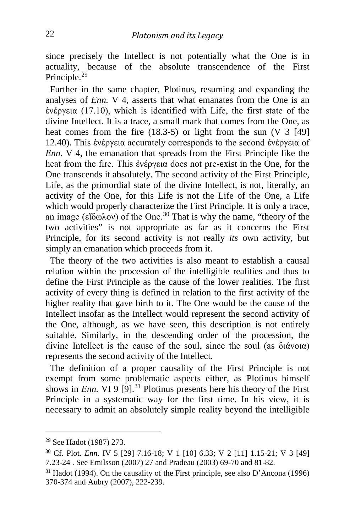since precisely the Intellect is not potentially what the One is in actuality, because of the absolute transcendence of the First Principle.<sup>[29](#page-10-0)</sup>

 Further in the same chapter, Plotinus, resuming and expanding the analyses of *Enn.* V 4, asserts that what emanates from the One is an ἐνέργεια (17.10), which is identified with Life, the first state of the divine Intellect. It is a trace, a small mark that comes from the One, as heat comes from the fire (18.3-5) or light from the sun (V 3 [49] 12.40). This ἐνέργεια accurately corresponds to the second ἐνέργεια of *Enn.* V 4, the emanation that spreads from the First Principle like the heat from the fire. This ἐνέργεια does not pre-exist in the One, for the One transcends it absolutely. The second activity of the First Principle, Life, as the primordial state of the divine Intellect, is not, literally, an activity of the One, for this Life is not the Life of the One, a Life which would properly characterize the First Principle. It is only a trace, an image (εἴδωλον) of the One.[30](#page-10-1) That is why the name, "theory of the two activities" is not appropriate as far as it concerns the First Principle, for its second activity is not really *its* own activity, but simply an emanation which proceeds from it.

 The theory of the two activities is also meant to establish a causal relation within the procession of the intelligible realities and thus to define the First Principle as the cause of the lower realities. The first activity of every thing is defined in relation to the first activity of the higher reality that gave birth to it. The One would be the cause of the Intellect insofar as the Intellect would represent the second activity of the One, although, as we have seen, this description is not entirely suitable. Similarly, in the descending order of the procession, the divine Intellect is the cause of the soul, since the soul (as διάνοια) represents the second activity of the Intellect.

 The definition of a proper causality of the First Principle is not exempt from some problematic aspects either, as Plotinus himself shows in *Enn.* VI 9 [9].<sup>[31](#page-10-2)</sup> Plotinus presents here his theory of the First Principle in a systematic way for the first time. In his view, it is necessary to admit an absolutely simple reality beyond the intelligible

<span id="page-10-0"></span><sup>29</sup> See Hadot (1987) 273.

<span id="page-10-1"></span><sup>30</sup> Cf. Plot. *Enn.* IV 5 [29] 7.16-18; V 1 [10] 6.33; V 2 [11] 1.15-21; V 3 [49] 7.23-24 . See Emilsson (2007) 27 and Pradeau (2003) 69-70 and 81-82.

<span id="page-10-2"></span> $31$  Hadot (1994). On the causality of the First principle, see also D'Ancona (1996) 370-374 and Aubry (2007), 222-239.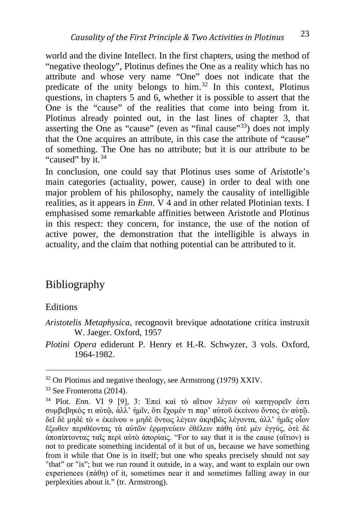world and the divine Intellect. In the first chapters, using the method of "negative theology", Plotinus defines the One as a reality which has no attribute and whose very name "One" does not indicate that the predicate of the unity belongs to him.[32](#page-11-0) In this context, Plotinus questions, in chapters 5 and 6, whether it is possible to assert that the One is the "cause" of the realities that come into being from it. Plotinus already pointed out, in the last lines of chapter 3, that asserting the One as "cause" (even as "final cause"<sup>[33](#page-11-1)</sup>) does not imply that the One acquires an attribute, in this case the attribute of "cause" of something. The One has no attribute; but it is our attribute to be "caused" by it.<sup>[34](#page-11-2)</sup>

In conclusion, one could say that Plotinus uses some of Aristotle's main categories (actuality, power, cause) in order to deal with one major problem of his philosophy, namely the causality of intelligible realities, as it appears in *Enn*. V 4 and in other related Plotinian texts. I emphasised some remarkable affinities between Aristotle and Plotinus in this respect: they concern, for instance, the use of the notion of active power, the demonstration that the intelligible is always in actuality, and the claim that nothing potential can be attributed to it.

## Bibliography

### Editions

*Aristotelis Metaphysica*, recognovit brevique adnotatione critica instruxit W. Jaeger. Oxford, 1957

*Plotini Opera* ediderunt P. Henry et H.-R. Schwyzer, 3 vols. Oxford, 1964-1982.

<span id="page-11-0"></span><sup>&</sup>lt;sup>32</sup> On Plotinus and negative theology, see Armstrong (1979) XXIV.

<span id="page-11-1"></span><sup>33</sup> See Fronterotta (2014).

<span id="page-11-2"></span><sup>34</sup> Plot. *Enn.* VI 9 [9], 3: Ἐπεὶ καὶ τὸ αἴτιον λέγειν οὐ κατηγορεῖν ἐστι συμβεβηκός τι αὐτῷ, ἀλλ' ἡμῖν, ὅτι ἔχομέν τι παρ' αὐτοῦ ἐκείνου ὄντος ἐν αὐτῷ. δεῖ δὲ μηδὲ τὸ « ἐκείνου » μηδὲ ὄντως λέγειν ἀκριβῶς λέγοντα, ἀλλ' ἡμᾶς οἷον ἔξωθεν περιθέοντας τὰ αὑτῶν ἑρμηνεύειν ἐθέλειν πάθη ὁτὲ μὲν ἐγγύς, ὁτὲ δὲ ἀποπίπτοντας ταῖς περὶ αὐτὸ ἀπορίαις. "For to say that it is the cause (αἴτιον) is not to predicate something incidental of it but of us, because we have something from it while that One is in itself; but one who speaks precisely should not say "that" or "is"; but we run round it outside, in a way, and want to explain our own experiences  $(\pi \dot{\alpha} \theta)$  of it, sometimes near it and sometimes falling away in our perplexities about it." (tr. Armstrong).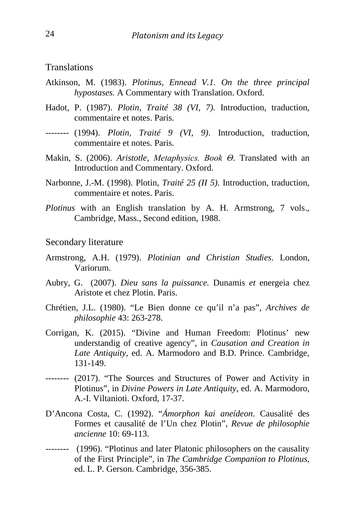**Translations** 

- Atkinson, M. (1983). *Plotinus, Ennead V.1. On the three principal hypostases.* A Commentary with Translation. Oxford.
- Hadot, P. (1987). *Plotin, Traité 38 (VI, 7)*. Introduction, traduction, commentaire et notes. Paris.
- -------- (1994). *Plotin, Traité 9 (VI, 9)*. Introduction, traduction, commentaire et notes. Paris.
- Makin, S. (2006). *Aristotle, Metaphysics. Book Θ*. Translated with an Introduction and Commentary. Oxford.
- Narbonne, J.-M. (1998). Plotin, *Traité 25 (II 5)*. Introduction, traduction, commentaire et notes. Paris.
- *Plotinus* with an English translation by A. H. Armstrong, 7 vols., Cambridge, Mass., Second edition, 1988.

Secondary literature

- Armstrong, A.H. (1979). *Plotinian and Christian Studies*. London, Variorum.
- Aubry, G. (2007). *Dieu sans la puissance.* Dunamis *et* energeia chez Aristote et chez Plotin. Paris.
- Chrétien, J.L. (1980). "Le Bien donne ce qu'il n'a pas", *Archives de philosophie* 43: 263-278.
- Corrigan, K. (2015). "Divine and Human Freedom: Plotinus' new understandig of creative agency", in *Causation and Creation in Late Antiquity*, ed. A. Marmodoro and B.D. Prince. Cambridge, 131-149.
- -------- (2017). "The Sources and Structures of Power and Activity in Plotinus", in *Divine Powers in Late Antiquity*, ed. A. Marmodoro, A.-I. Viltanioti. Oxford, 17-37.
- D'Ancona Costa, C. (1992). "*Ámorphon kai aneídeon*. Causalité des Formes et causalité de l'Un chez Plotin", *Revue de philosophie ancienne* 10: 69-113.
- -------- (1996). "Plotinus and later Platonic philosophers on the causality of the First Principle", in *The Cambridge Companion to Plotinus*, ed. L. P. Gerson. Cambridge, 356-385.